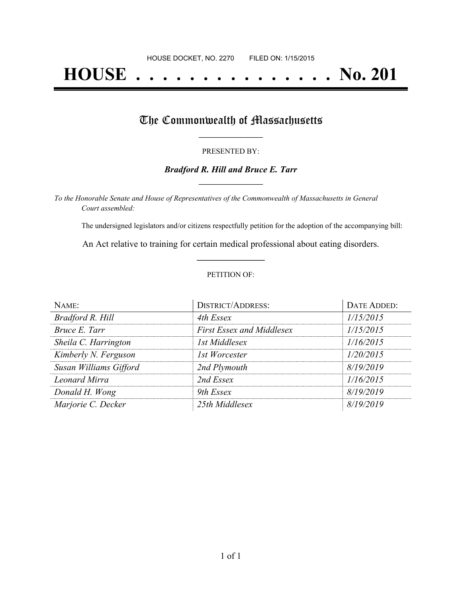# **HOUSE . . . . . . . . . . . . . . . No. 201**

## The Commonwealth of Massachusetts

#### PRESENTED BY:

#### *Bradford R. Hill and Bruce E. Tarr* **\_\_\_\_\_\_\_\_\_\_\_\_\_\_\_\_\_**

*To the Honorable Senate and House of Representatives of the Commonwealth of Massachusetts in General Court assembled:*

The undersigned legislators and/or citizens respectfully petition for the adoption of the accompanying bill:

An Act relative to training for certain medical professional about eating disorders. **\_\_\_\_\_\_\_\_\_\_\_\_\_\_\_**

#### PETITION OF:

| NAME:                  | <b>DISTRICT/ADDRESS:</b>         | DATE ADDED: |
|------------------------|----------------------------------|-------------|
| Bradford R. Hill       | 4th Essex                        | 1/15/2015   |
| Bruce E. Tarr          | <b>First Essex and Middlesex</b> | 1/15/2015   |
| Sheila C. Harrington   | 1st Middlesex                    | 1/16/2015   |
| Kimberly N. Ferguson   | 1st Worcester                    | 1/20/2015   |
| Susan Williams Gifford | 2nd Plymouth                     | 8/19/2019   |
| Leonard Mirra          | 2nd Essex                        | 1/16/2015   |
| Donald H. Wong         | 9th Essex                        | 8/19/2019   |
| Marjorie C. Decker     | 25th Middlesex                   | 8/19/2019   |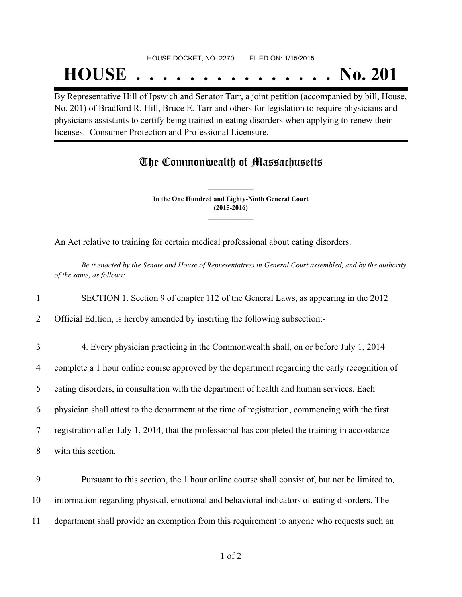### HOUSE DOCKET, NO. 2270 FILED ON: 1/15/2015

## **HOUSE . . . . . . . . . . . . . . . No. 201**

By Representative Hill of Ipswich and Senator Tarr, a joint petition (accompanied by bill, House, No. 201) of Bradford R. Hill, Bruce E. Tarr and others for legislation to require physicians and physicians assistants to certify being trained in eating disorders when applying to renew their licenses. Consumer Protection and Professional Licensure.

## The Commonwealth of Massachusetts

**In the One Hundred and Eighty-Ninth General Court (2015-2016) \_\_\_\_\_\_\_\_\_\_\_\_\_\_\_**

**\_\_\_\_\_\_\_\_\_\_\_\_\_\_\_**

An Act relative to training for certain medical professional about eating disorders.

Be it enacted by the Senate and House of Representatives in General Court assembled, and by the authority *of the same, as follows:*

1 SECTION 1. Section 9 of chapter 112 of the General Laws, as appearing in the 2012

2 Official Edition, is hereby amended by inserting the following subsection:-

3 4. Every physician practicing in the Commonwealth shall, on or before July 1, 2014

4 complete a 1 hour online course approved by the department regarding the early recognition of

5 eating disorders, in consultation with the department of health and human services. Each

6 physician shall attest to the department at the time of registration, commencing with the first

7 registration after July 1, 2014, that the professional has completed the training in accordance

8 with this section.

9 Pursuant to this section, the 1 hour online course shall consist of, but not be limited to, 10 information regarding physical, emotional and behavioral indicators of eating disorders. The 11 department shall provide an exemption from this requirement to anyone who requests such an